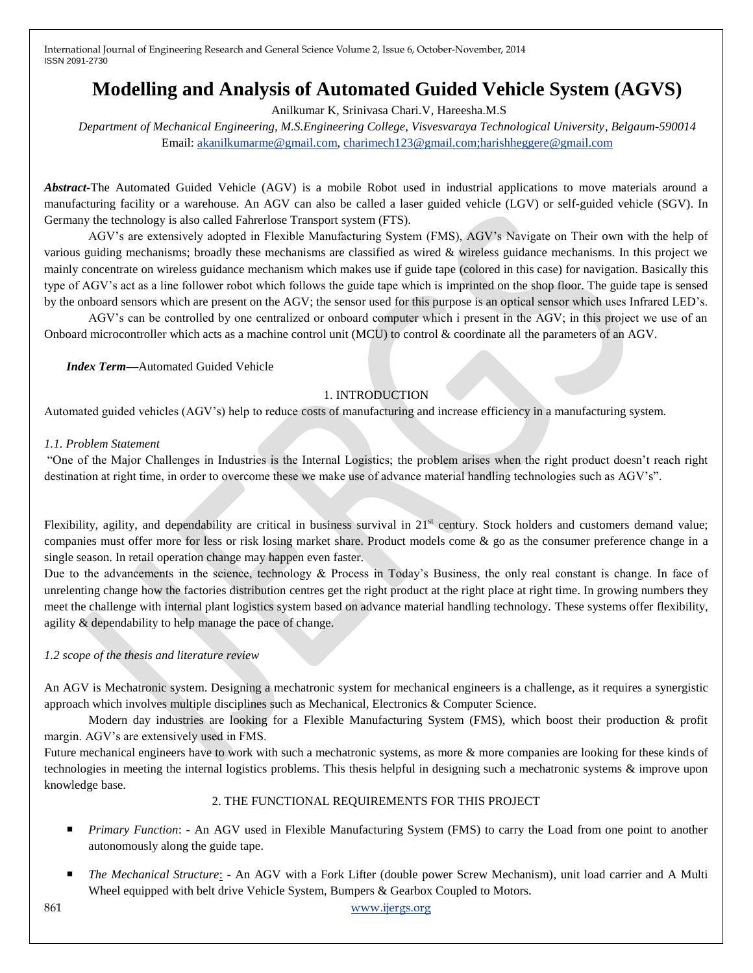# **Modelling and Analysis of Automated Guided Vehicle System (AGVS)**

Anilkumar K, Srinivasa Chari.V, Hareesha.M.S

*Department of Mechanical Engineering, M.S.Engineering College, Visvesvaraya Technological University, Belgaum-590014* Email: [akanilkumarme@gmail.com,](mailto:akanilkumarme@gmail.com) [charimech123@gmail.com;harishheggere@gmail.com](mailto:charimech123@gmail.com;harishheggere@gmail.com)

*Abstract***-**The Automated Guided Vehicle (AGV) is a mobile Robot used in industrial applications to move materials around a manufacturing facility or a warehouse. An AGV can also be called a laser guided vehicle (LGV) or self-guided vehicle (SGV). In Germany the technology is also called Fahrerlose Transport system (FTS).

AGV's are extensively adopted in Flexible Manufacturing System (FMS), AGV's Navigate on Their own with the help of various guiding mechanisms; broadly these mechanisms are classified as wired & wireless guidance mechanisms. In this project we mainly concentrate on wireless guidance mechanism which makes use if guide tape (colored in this case) for navigation. Basically this type of AGV's act as a line follower robot which follows the guide tape which is imprinted on the shop floor. The guide tape is sensed by the onboard sensors which are present on the AGV; the sensor used for this purpose is an optical sensor which uses Infrared LED's.

AGV's can be controlled by one centralized or onboard computer which i present in the AGV; in this project we use of an Onboard microcontroller which acts as a machine control unit (MCU) to control & coordinate all the parameters of an AGV.

*Index Term***—**Automated Guided Vehicle

#### 1. INTRODUCTION

Automated guided vehicles (AGV's) help to reduce costs of manufacturing and increase efficiency in a manufacturing system.

#### *1.1. Problem Statement*

"One of the Major Challenges in Industries is the Internal Logistics; the problem arises when the right product doesn't reach right destination at right time, in order to overcome these we make use of advance material handling technologies such as AGV's".

Flexibility, agility, and dependability are critical in business survival in  $21<sup>st</sup>$  century. Stock holders and customers demand value; companies must offer more for less or risk losing market share. Product models come & go as the consumer preference change in a single season. In retail operation change may happen even faster.

Due to the advancements in the science, technology & Process in Today's Business, the only real constant is change. In face of unrelenting change how the factories distribution centres get the right product at the right place at right time. In growing numbers they meet the challenge with internal plant logistics system based on advance material handling technology. These systems offer flexibility, agility & dependability to help manage the pace of change.

#### *1.2 scope of the thesis and literature review*

An AGV is Mechatronic system. Designing a mechatronic system for mechanical engineers is a challenge, as it requires a synergistic approach which involves multiple disciplines such as Mechanical, Electronics & Computer Science.

Modern day industries are looking for a Flexible Manufacturing System (FMS), which boost their production & profit margin. AGV's are extensively used in FMS.

Future mechanical engineers have to work with such a mechatronic systems, as more & more companies are looking for these kinds of technologies in meeting the internal logistics problems. This thesis helpful in designing such a mechatronic systems & improve upon knowledge base.

#### 2. THE FUNCTIONAL REQUIREMENTS FOR THIS PROJECT

- **Primary Function: An AGV used in Flexible Manufacturing System (FMS) to carry the Load from one point to another** autonomously along the guide tape.
- *The Mechanical Structure*: An AGV with a Fork Lifter (double power Screw Mechanism), unit load carrier and A Multi Wheel equipped with belt drive Vehicle System, Bumpers & Gearbox Coupled to Motors.

#### 861 www.ijergs.org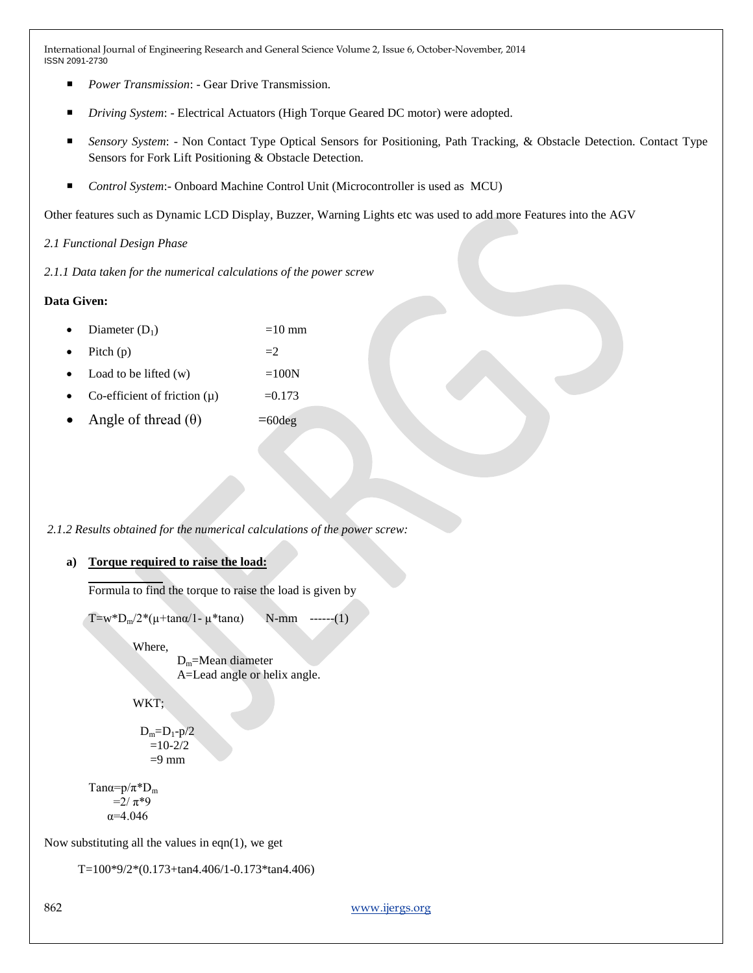- *Power Transmission*: Gear Drive Transmission.
- *Driving System*: Electrical Actuators (High Torque Geared DC motor) were adopted.
- *Sensory System*: Non Contact Type Optical Sensors for Positioning, Path Tracking, & Obstacle Detection. Contact Type Sensors for Fork Lift Positioning & Obstacle Detection.
- *Control System*:- Onboard Machine Control Unit (Microcontroller is used as MCU)

Other features such as Dynamic LCD Display, Buzzer, Warning Lights etc was used to add more Features into the AGV

*2.1 Functional Design Phase*

*2.1.1 Data taken for the numerical calculations of the power screw*

# **Data Given:**

- Diameter  $(D_1)$  =10 mm
- Pitch (p)  $=2$
- Load to be lifted  $(w)$  =100N
- Co-efficient of friction  $(\mu)$  =0.173
- Angle of thread  $(\theta)$  =60deg

#### *2.1.2 Results obtained for the numerical calculations of the power screw:*

#### **a) Torque required to raise the load:**

Formula to find the torque to raise the load is given by

```
T=w*D<sub>m</sub>/2*(\mu+tanα/1- \mu*tanα) N-mm ------(1)
```
Where,

Dm=Mean diameter A=Lead angle or helix angle.

WKT:

 $D_m=D_1-p/2$  $=10-2/2$  $=9$  mm

Tan $\alpha = p/\pi^*D_m$  $=2/π*9$ α=4.046

Now substituting all the values in eqn $(1)$ , we get

```
 T=100*9/2*(0.173+tan4.406/1-0.173*tan4.406)
```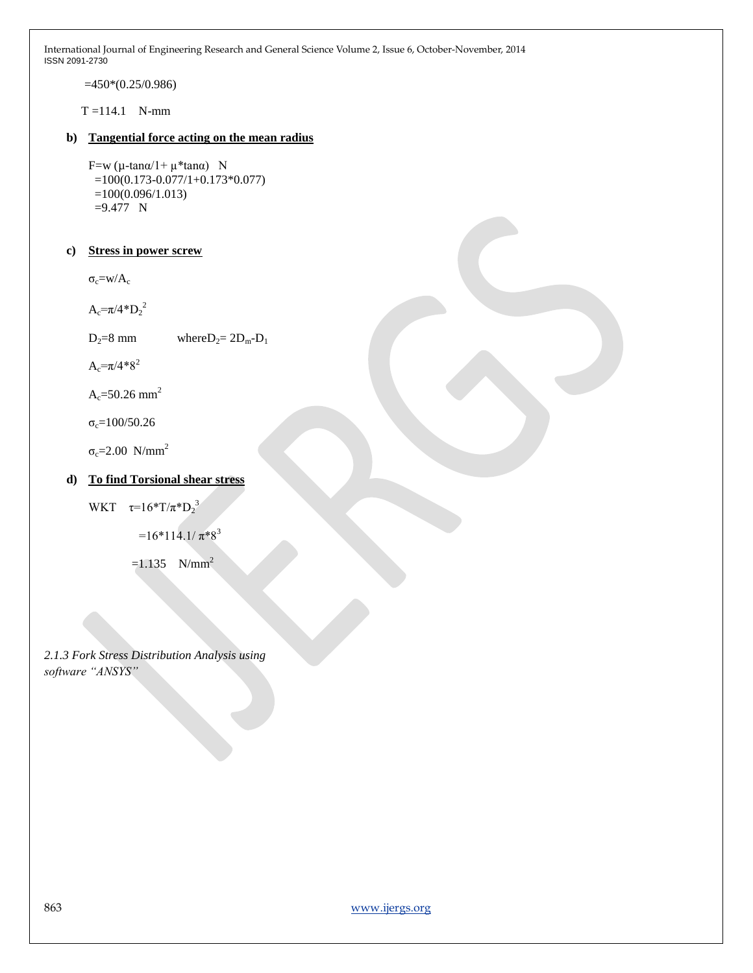=450\*(0.25/0.986)

 $T = 114.1$  N-mm

### **b) Tangential force acting on the mean radius**

F=w (μ-tanα/1+ μ\*tanα) N =100(0.173-0.077/1+0.173\*0.077)  $=100(0.096/1.013)$ =9.477 N

# **c) Stress in power screw**

 $\sigma_c=w/A_c$ 

 $A_c = \pi/4 D_2^2$ 

 $D_2=8$  mm where  $D_2=2D_m-D_1$ 

 $A_c = \pi/4*8^2$ 

 $A_c = 50.26$  mm<sup>2</sup>

 $σ<sub>c</sub>=100/50.26$ 

 $σ<sub>c</sub>=2.00 N/mm<sup>2</sup>$ 

# **d) To find Torsional shear stress**

WKT  $\tau=16^*T/\pi^*D_2^3$ 

 $=16*114.1/\pi*8^3$ 

 $=1.135$  N/mm<sup>2</sup>

*2.1.3 Fork Stress Distribution Analysis using software "ANSYS"*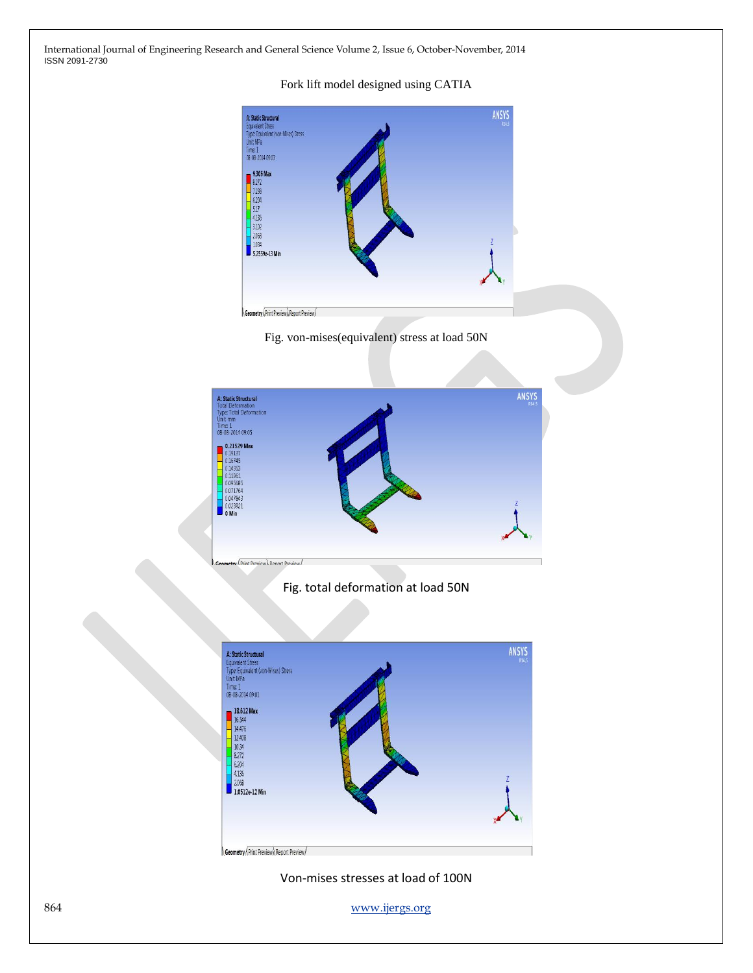#### Fork lift model designed using CATIA



Fig. von-mises(equivalent) stress at load 50N



Fig. total deformation at load 50N



Von-mises stresses at load of 100N

864 www.ijergs.org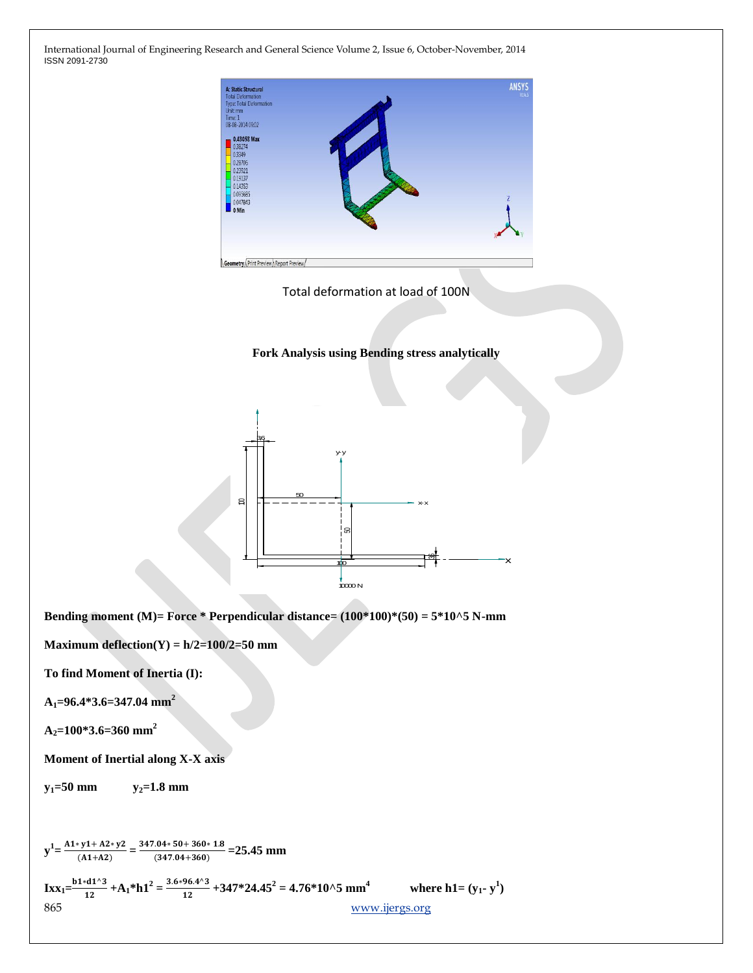

Total deformation at load of 100N

**Fork Analysis using Bending stress analytically**



**Bending moment (M)= Force \* Perpendicular distance= (100\*100)\*(50) = 5\*10^5 N-mm**

**Maximum deflection(Y) = h/2=100/2=50 mm**

**To find Moment of Inertia (I):**

**A1=96.4\*3.6=347.04 mm<sup>2</sup>**

**A2=100\*3.6=360 mm<sup>2</sup>**

**Moment of Inertial along X-X axis**

 $y_1 = 50$  mm  $y_2 = 1.8$  mm

865 www.ijergs.org  $y^1 = \frac{A1 * y1 + A2 * y2}{(A1 + A2)}$  $\frac{(x)(1+42)y}{(1+42)} = \frac{347.04*50+360*1.8}{(347.04+360)}$  $\frac{104*30+300*1.0}{(347.04+360)} = 25.45$  mm  $\text{IxX}_1 = \frac{b1 * d1^2}{12}$  $+\mathbf{A}_1^* \mathbf{h} \mathbf{1}^2 = \frac{3.6 * 96.4^{\wedge}3}{12}$  $\frac{96.4^{13}}{12} + 347 \cdot 24.45^2 = 4.76 \cdot 10^{15} \text{ mm}^4$  where h1= (y<sub>1</sub> · y<sup>1</sup>)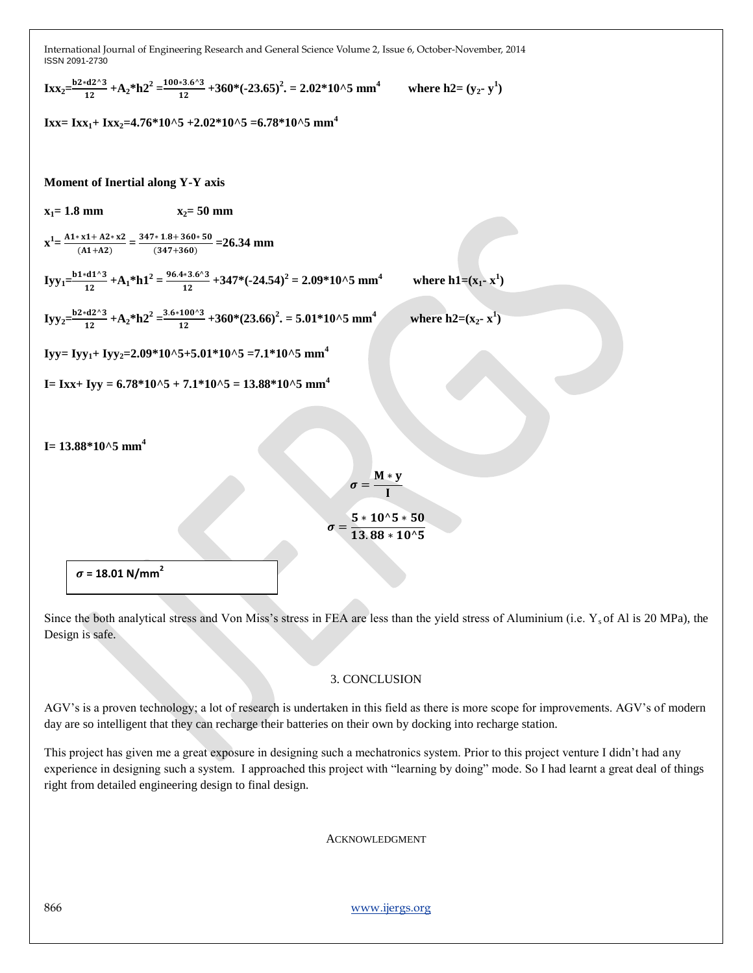$\text{IxX}_{2} = \frac{b2 \cdot d2 \cdot 3}{12}$  $+\mathbf{A}_2^* \mathbf{h} \mathbf{2}^2 = \frac{100 * 3.6 {}^{\wedge}3}{12}$  $\frac{12}{12} + 360^* (-23.65)^2 = 2.02^* 10^* 5 \text{ mm}^4$  where h2= (y<sub>2</sub> · y<sup>1</sup>) **Ixx**= **Ixx**<sub>1</sub>+ **Ixx**<sub>2</sub>=4.76\*10^5 +2.02\*10^5 =6.78\*10^5 mm<sup>4</sup> **Moment of Inertial along Y-Y axis**  $x_1 = 1.8 \text{ mm}$   $x_2 = 50 \text{ mm}$  $x^1 = \frac{A1 \times x1 + A2 \times x2}{(A1 + A2)}$  $\frac{x(1+1) + 1 + 2 + x^2}{(1+1+2)} = \frac{347 \cdot 1.8 + 360 \cdot 50}{(347 + 360)}$  $\frac{(347+360)}{(347+360)}$  = 26.34 mm  $Iyy_1 = \frac{b1 * d1^2}{12}$  $+\mathbf{A}_1^* \mathbf{h} \mathbf{1}^2 = \frac{96.4 \times 3.6^{\times}3}{12}$  $\frac{^{*3.6^{+3}}}{^{12}}$  + 347\*(-24.54)<sup>2</sup> = 2.09\*10^5 mm<sup>4</sup>  **where h1=**( $x_1$ **-**  $x^1$ )  $Iyy_2 = \frac{b2 \cdot d2^2}{12}$  $+\mathbf{A}_2^* \mathbf{h} \mathbf{2}^2 = \frac{3.6 * 100^{\circ}3}{12}$  $\frac{100^{3}3}{12}$  + 360\*(23.66)<sup>2</sup>. = 5.01\*10^5 mm<sup>4</sup> *where h2***=(** $x_2$ **<b>·**  $x^1$ ) **Iyy**=**Iyy**<sub>1</sub>+**Iyy**<sub>2</sub>=2.09\*10^5+5.01\*10^5 =7.1\*10^5 mm<sup>4</sup> **I**= Ixx+ Iyy =  $6.78*10^{\circ}5 + 7.1*10^{\circ}5 = 13.88*10^{\circ}5$  mm<sup>4</sup> **I= 13.88\*10^5 mm<sup>4</sup>**  $\sigma = \frac{M * y}{I}$ I  $\sigma = \frac{5 * 10^{\circ}5 * 50}{42.28 \times 10^{\circ}5}$  $13.88 * 10^{\wedge}5$  $\sigma$  = 18.01 N/mm<sup>2</sup>

Since the both analytical stress and Von Miss's stress in FEA are less than the yield stress of Aluminium (i.e.  $Y_s$  of Al is 20 MPa), the Design is safe.

#### 3. CONCLUSION

AGV's is a proven technology; a lot of research is undertaken in this field as there is more scope for improvements. AGV's of modern day are so intelligent that they can recharge their batteries on their own by docking into recharge station.

This project has given me a great exposure in designing such a mechatronics system. Prior to this project venture I didn't had any experience in designing such a system. I approached this project with "learning by doing" mode. So I had learnt a great deal of things right from detailed engineering design to final design.

ACKNOWLEDGMENT

866 www.ijergs.org